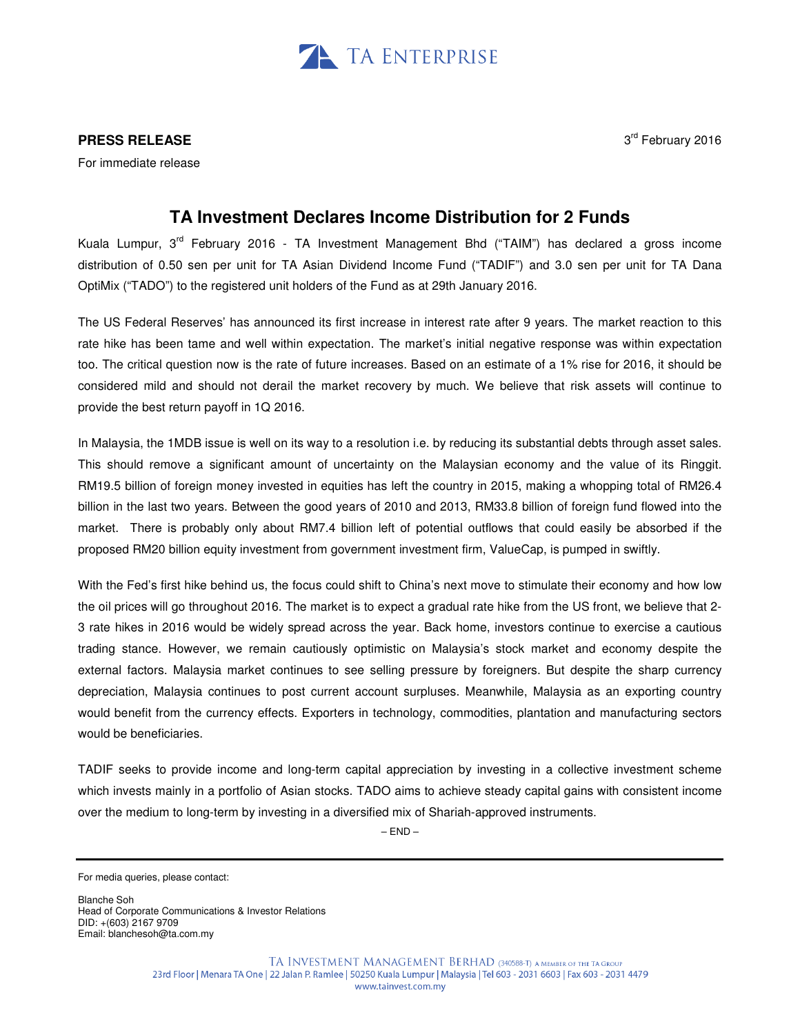

## **PRESS RELEASE**

For immediate release

3<sup>rd</sup> February 2016

## **TA Investment Declares Income Distribution for 2 Funds**

Kuala Lumpur, 3<sup>rd</sup> February 2016 - TA Investment Management Bhd ("TAIM") has declared a gross income distribution of 0.50 sen per unit for TA Asian Dividend Income Fund ("TADIF") and 3.0 sen per unit for TA Dana OptiMix ("TADO") to the registered unit holders of the Fund as at 29th January 2016.

The US Federal Reserves' has announced its first increase in interest rate after 9 years. The market reaction to this rate hike has been tame and well within expectation. The market's initial negative response was within expectation too. The critical question now is the rate of future increases. Based on an estimate of a 1% rise for 2016, it should be considered mild and should not derail the market recovery by much. We believe that risk assets will continue to provide the best return payoff in 1Q 2016.

In Malaysia, the 1MDB issue is well on its way to a resolution i.e. by reducing its substantial debts through asset sales. This should remove a significant amount of uncertainty on the Malaysian economy and the value of its Ringgit. RM19.5 billion of foreign money invested in equities has left the country in 2015, making a whopping total of RM26.4 billion in the last two years. Between the good years of 2010 and 2013, RM33.8 billion of foreign fund flowed into the market. There is probably only about RM7.4 billion left of potential outflows that could easily be absorbed if the proposed RM20 billion equity investment from government investment firm, ValueCap, is pumped in swiftly.

With the Fed's first hike behind us, the focus could shift to China's next move to stimulate their economy and how low the oil prices will go throughout 2016. The market is to expect a gradual rate hike from the US front, we believe that 2- 3 rate hikes in 2016 would be widely spread across the year. Back home, investors continue to exercise a cautious trading stance. However, we remain cautiously optimistic on Malaysia's stock market and economy despite the external factors. Malaysia market continues to see selling pressure by foreigners. But despite the sharp currency depreciation, Malaysia continues to post current account surpluses. Meanwhile, Malaysia as an exporting country would benefit from the currency effects. Exporters in technology, commodities, plantation and manufacturing sectors would be beneficiaries.

TADIF seeks to provide income and long-term capital appreciation by investing in a collective investment scheme which invests mainly in a portfolio of Asian stocks. TADO aims to achieve steady capital gains with consistent income over the medium to long-term by investing in a diversified mix of Shariah-approved instruments.

 $-$  END $-$ 

Blanche Soh Head of Corporate Communications & Investor Relations DID: +(603) 2167 9709 Email: blanchesoh@ta.com.my

For media queries, please contact: